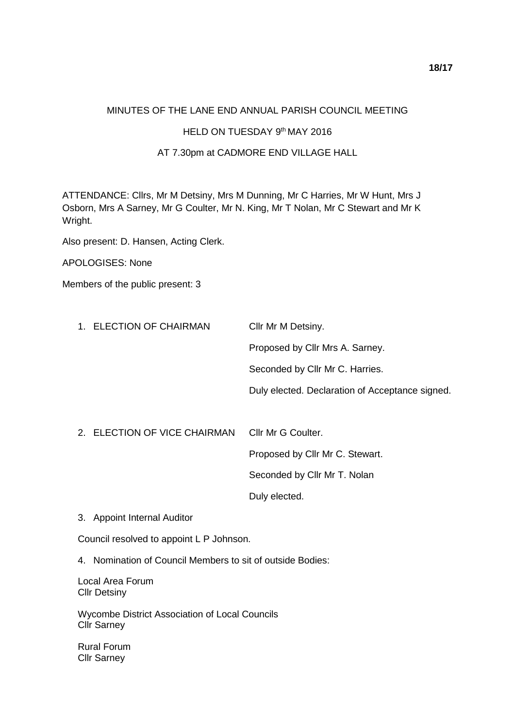## MINUTES OF THE LANE END ANNUAL PARISH COUNCIL MEETING

## HELD ON TUESDAY 9th MAY 2016

## AT 7.30pm at CADMORE END VILLAGE HALL

ATTENDANCE: Cllrs, Mr M Detsiny, Mrs M Dunning, Mr C Harries, Mr W Hunt, Mrs J Osborn, Mrs A Sarney, Mr G Coulter, Mr N. King, Mr T Nolan, Mr C Stewart and Mr K Wright.

Also present: D. Hansen, Acting Clerk.

APOLOGISES: None

Members of the public present: 3

| 1. ELECTION OF CHAIRMAN | Cllr Mr M Detsiny.                              |
|-------------------------|-------------------------------------------------|
|                         | Proposed by Cllr Mrs A. Sarney.                 |
|                         | Seconded by Cllr Mr C. Harries.                 |
|                         | Duly elected. Declaration of Acceptance signed. |
|                         |                                                 |

| 2. ELECTION OF VICE CHAIRMAN CIIr Mr G Coulter. |                                 |
|-------------------------------------------------|---------------------------------|
|                                                 | Proposed by Cllr Mr C. Stewart. |
|                                                 | Seconded by Cllr Mr T. Nolan    |
|                                                 | Duly elected.                   |

3. Appoint Internal Auditor

Council resolved to appoint L P Johnson.

4. Nomination of Council Members to sit of outside Bodies:

Local Area Forum Cllr Detsiny

Wycombe District Association of Local Councils Cllr Sarney

Rural Forum Cllr Sarney